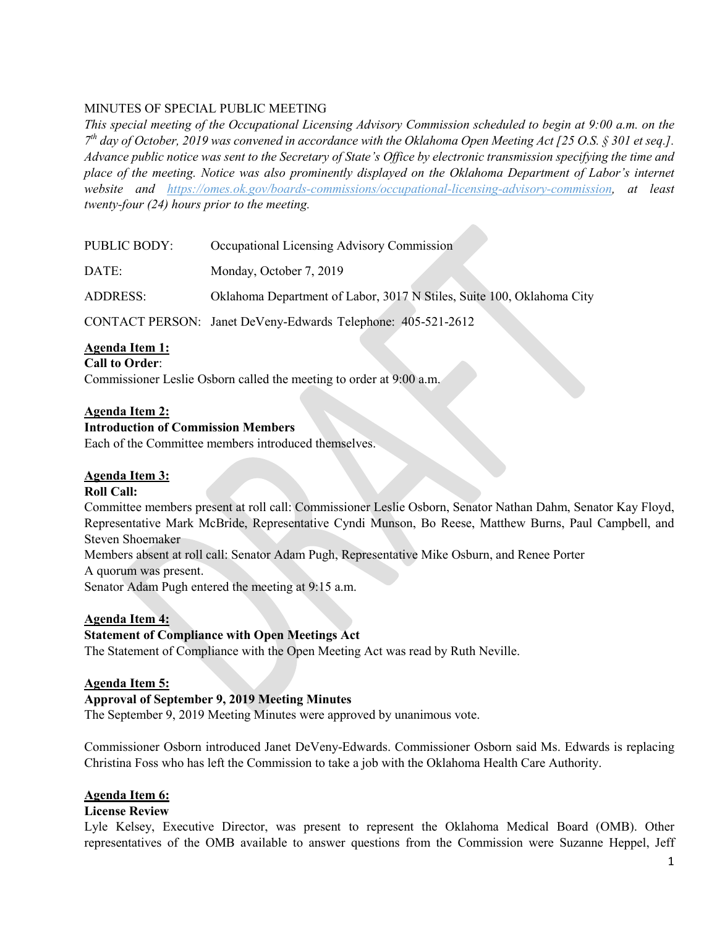# MINUTES OF SPECIAL PUBLIC MEETING

*This special meeting of the Occupational Licensing Advisory Commission scheduled to begin at 9:00 a.m. on the 7th day of October, 2019 was convened in accordance with the Oklahoma Open Meeting Act [25 O.S. § 301 et seq.]. Advance public notice was sent to the Secretary of State's Office by electronic transmission specifying the time and place of the meeting. Notice was also prominently displayed on the Oklahoma Department of Labor's internet website and https://omes.ok.gov/boards-commissions/occupational-licensing-advisory-commission, at least twenty-four (24) hours prior to the meeting.*

| PUBLIC BODY: | Occupational Licensing Advisory Commission                            |
|--------------|-----------------------------------------------------------------------|
| DATE:        | Monday, October 7, 2019                                               |
| ADDRESS:     | Oklahoma Department of Labor, 3017 N Stiles, Suite 100, Oklahoma City |
|              | CONTACT PERSON: Janet DeVeny-Edwards Telephone: 405-521-2612          |

# **Agenda Item 1:**

### **Call to Order**:

Commissioner Leslie Osborn called the meeting to order at 9:00 a.m.

### **Agenda Item 2:**

### **Introduction of Commission Members**

Each of the Committee members introduced themselves.

### **Agenda Item 3:**

### **Roll Call:**

Committee members present at roll call: Commissioner Leslie Osborn, Senator Nathan Dahm, Senator Kay Floyd, Representative Mark McBride, Representative Cyndi Munson, Bo Reese, Matthew Burns, Paul Campbell, and Steven Shoemaker

Members absent at roll call: Senator Adam Pugh, Representative Mike Osburn, and Renee Porter

A quorum was present.

Senator Adam Pugh entered the meeting at 9:15 a.m.

### **Agenda Item 4:**

# **Statement of Compliance with Open Meetings Act**

The Statement of Compliance with the Open Meeting Act was read by Ruth Neville.

### **Agenda Item 5:**

### **Approval of September 9, 2019 Meeting Minutes**

The September 9, 2019 Meeting Minutes were approved by unanimous vote.

Commissioner Osborn introduced Janet DeVeny-Edwards. Commissioner Osborn said Ms. Edwards is replacing Christina Foss who has left the Commission to take a job with the Oklahoma Health Care Authority.

### **Agenda Item 6:**

#### **License Review**

Lyle Kelsey, Executive Director, was present to represent the Oklahoma Medical Board (OMB). Other representatives of the OMB available to answer questions from the Commission were Suzanne Heppel, Jeff